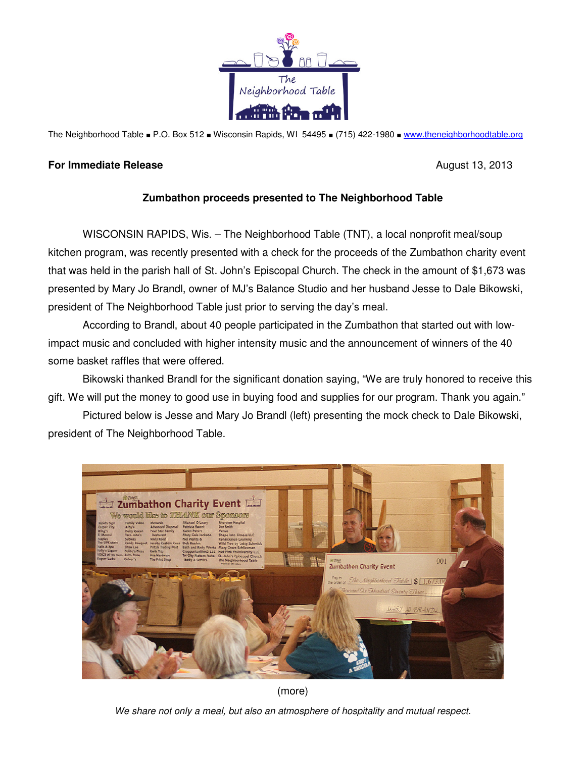

The Neighborhood Table ■ P.O. Box 512 ■ Wisconsin Rapids, WI 54495 ■ (715) 422-1980 ■ www.theneighborhoodtable.org

## **For Immediate Release**  August 13, 2013

## **Zumbathon proceeds presented to The Neighborhood Table**

 WISCONSIN RAPIDS, Wis. – The Neighborhood Table (TNT), a local nonprofit meal/soup kitchen program, was recently presented with a check for the proceeds of the Zumbathon charity event that was held in the parish hall of St. John's Episcopal Church. The check in the amount of \$1,673 was presented by Mary Jo Brandl, owner of MJ's Balance Studio and her husband Jesse to Dale Bikowski, president of The Neighborhood Table just prior to serving the day's meal.

 According to Brandl, about 40 people participated in the Zumbathon that started out with lowimpact music and concluded with higher intensity music and the announcement of winners of the 40 some basket raffles that were offered.

 Bikowski thanked Brandl for the significant donation saying, "We are truly honored to receive this gift. We will put the money to good use in buying food and supplies for our program. Thank you again."

 Pictured below is Jesse and Mary Jo Brandl (left) presenting the mock check to Dale Bikowski, president of The Neighborhood Table.



(more)

We share not only a meal, but also an atmosphere of hospitality and mutual respect.